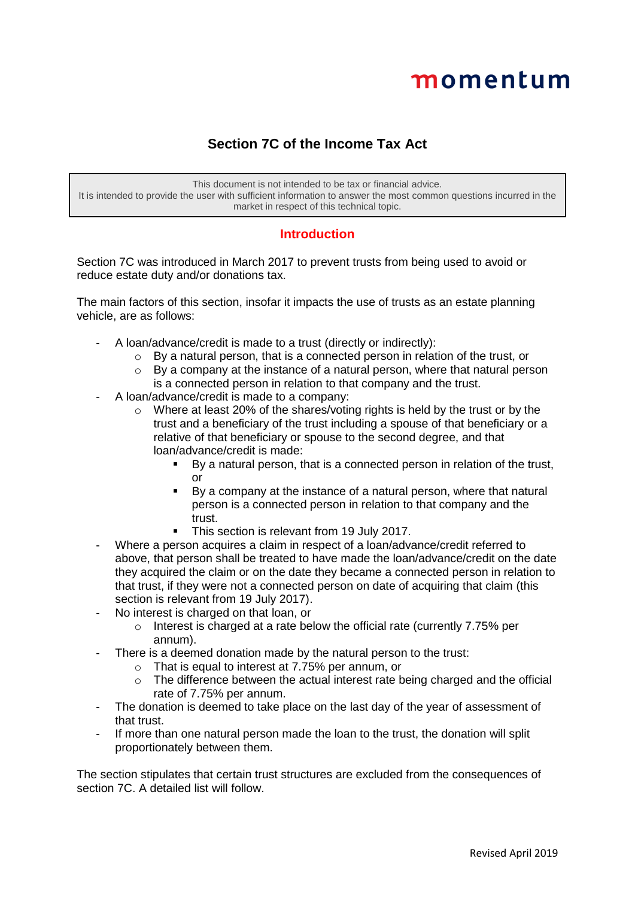# momentum

# **Section 7C of the Income Tax Act**

This document is not intended to be tax or financial advice. It is intended to provide the user with sufficient information to answer the most common questions incurred in the market in respect of this technical topic.

## **Introduction**

Section 7C was introduced in March 2017 to prevent trusts from being used to avoid or reduce estate duty and/or donations tax.

The main factors of this section, insofar it impacts the use of trusts as an estate planning vehicle, are as follows:

- A loan/advance/credit is made to a trust (directly or indirectly):
	- o By a natural person, that is a connected person in relation of the trust, or
	- $\circ$  By a company at the instance of a natural person, where that natural person is a connected person in relation to that company and the trust.
- A loan/advance/credit is made to a company:
	- $\circ$  Where at least 20% of the shares/voting rights is held by the trust or by the trust and a beneficiary of the trust including a spouse of that beneficiary or a relative of that beneficiary or spouse to the second degree, and that loan/advance/credit is made:
		- By a natural person, that is a connected person in relation of the trust, or
		- By a company at the instance of a natural person, where that natural person is a connected person in relation to that company and the trust.
		- This section is relevant from 19 July 2017.
- Where a person acquires a claim in respect of a loan/advance/credit referred to above, that person shall be treated to have made the loan/advance/credit on the date they acquired the claim or on the date they became a connected person in relation to that trust, if they were not a connected person on date of acquiring that claim (this section is relevant from 19 July 2017).
- No interest is charged on that loan, or
	- o Interest is charged at a rate below the official rate (currently 7.75% per annum).
- There is a deemed donation made by the natural person to the trust:
	- o That is equal to interest at 7.75% per annum, or
		- o The difference between the actual interest rate being charged and the official rate of 7.75% per annum.
- The donation is deemed to take place on the last day of the year of assessment of that trust.
- If more than one natural person made the loan to the trust, the donation will split proportionately between them.

The section stipulates that certain trust structures are excluded from the consequences of section 7C. A detailed list will follow.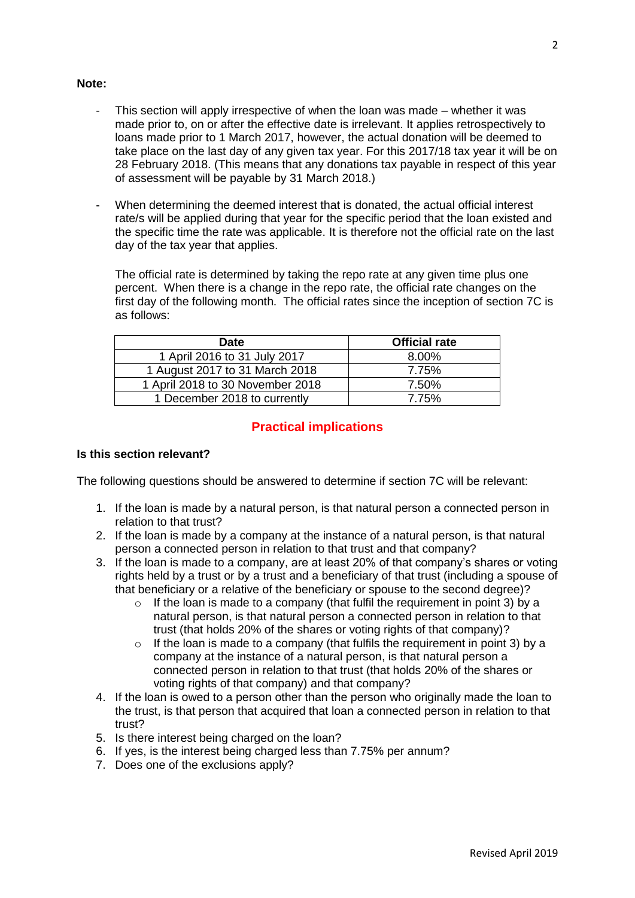#### **Note:**

- This section will apply irrespective of when the loan was made whether it was made prior to, on or after the effective date is irrelevant. It applies retrospectively to loans made prior to 1 March 2017, however, the actual donation will be deemed to take place on the last day of any given tax year. For this 2017/18 tax year it will be on 28 February 2018. (This means that any donations tax payable in respect of this year of assessment will be payable by 31 March 2018.)
- When determining the deemed interest that is donated, the actual official interest rate/s will be applied during that year for the specific period that the loan existed and the specific time the rate was applicable. It is therefore not the official rate on the last day of the tax year that applies.

The official rate is determined by taking the repo rate at any given time plus one percent. When there is a change in the repo rate, the official rate changes on the first day of the following month. The official rates since the inception of section 7C is as follows:

| <b>Date</b>                      | <b>Official rate</b> |  |
|----------------------------------|----------------------|--|
| 1 April 2016 to 31 July 2017     | 8.00%                |  |
| 1 August 2017 to 31 March 2018   | 7.75%                |  |
| 1 April 2018 to 30 November 2018 | 7.50%                |  |
| 1 December 2018 to currently     | 7.75%                |  |

## **Practical implications**

#### **Is this section relevant?**

The following questions should be answered to determine if section 7C will be relevant:

- 1. If the loan is made by a natural person, is that natural person a connected person in relation to that trust?
- 2. If the loan is made by a company at the instance of a natural person, is that natural person a connected person in relation to that trust and that company?
- 3. If the loan is made to a company, are at least 20% of that company's shares or voting rights held by a trust or by a trust and a beneficiary of that trust (including a spouse of that beneficiary or a relative of the beneficiary or spouse to the second degree)?
	- $\circ$  If the loan is made to a company (that fulfil the requirement in point 3) by a natural person, is that natural person a connected person in relation to that trust (that holds 20% of the shares or voting rights of that company)?
	- o If the loan is made to a company (that fulfils the requirement in point 3) by a company at the instance of a natural person, is that natural person a connected person in relation to that trust (that holds 20% of the shares or voting rights of that company) and that company?
- 4. If the loan is owed to a person other than the person who originally made the loan to the trust, is that person that acquired that loan a connected person in relation to that trust?
- 5. Is there interest being charged on the loan?
- 6. If yes, is the interest being charged less than 7.75% per annum?
- 7. Does one of the exclusions apply?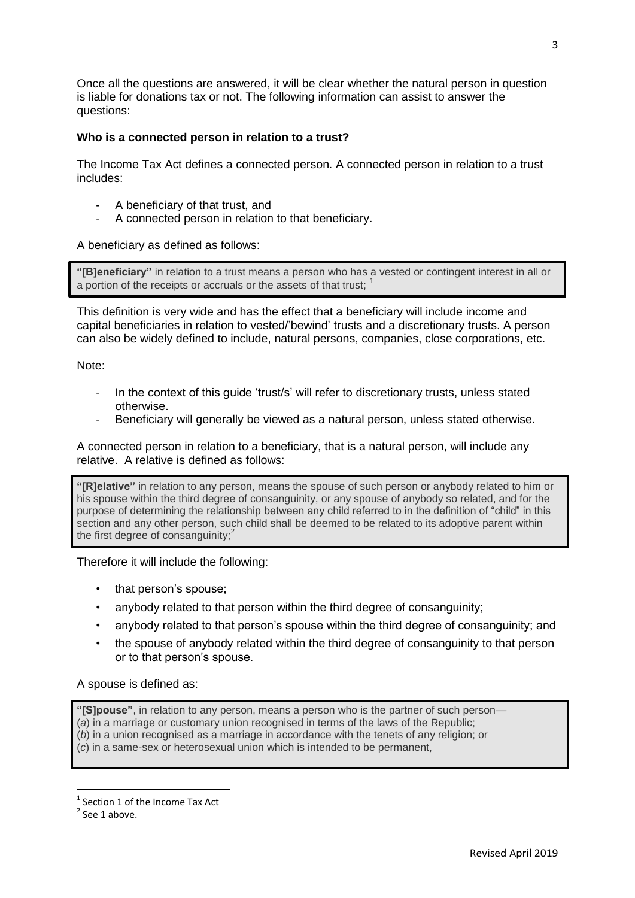Once all the questions are answered, it will be clear whether the natural person in question is liable for donations tax or not. The following information can assist to answer the questions:

## **Who is a connected person in relation to a trust?**

The Income Tax Act defines a connected person. A connected person in relation to a trust includes:

- A beneficiary of that trust, and
- A connected person in relation to that beneficiary.

A beneficiary as defined as follows:

**"[B]eneficiary"** in relation to a trust means a person who has a vested or contingent interest in all or a portion of the receipts or accruals or the assets of that trust:  $1$ 

This definition is very wide and has the effect that a beneficiary will include income and capital beneficiaries in relation to vested/'bewind' trusts and a discretionary trusts. A person can also be widely defined to include, natural persons, companies, close corporations, etc.

Note:

- In the context of this guide 'trust/s' will refer to discretionary trusts, unless stated otherwise.
- Beneficiary will generally be viewed as a natural person, unless stated otherwise.

A connected person in relation to a beneficiary, that is a natural person, will include any relative. A relative is defined as follows:

**"[R]elative"** in relation to any person, means the spouse of such person or anybody related to him or his spouse within the third degree of consanguinity, or any spouse of anybody so related, and for the purpose of determining the relationship between any child referred to in the definition of "child" in this section and any other person, such child shall be deemed to be related to its adoptive parent within the first degree of consanguinity: $2$ 

Therefore it will include the following:

- that person's spouse;
- anybody related to that person within the third degree of consanguinity;
- anybody related to that person's spouse within the third degree of consanguinity; and
- the spouse of anybody related within the third degree of consanguinity to that person or to that person's spouse.

A spouse is defined as:

**"[S]pouse"**, in relation to any person, means a person who is the partner of such person—

(*a*) in a marriage or customary union recognised in terms of the laws of the Republic;

(*b*) in a union recognised as a marriage in accordance with the tenets of any religion; or

(*c*) in a same-sex or heterosexual union which is intended to be permanent,

**.** 

<sup>&</sup>lt;sup>1</sup> Section 1 of the Income Tax Act

 $2$  See 1 above.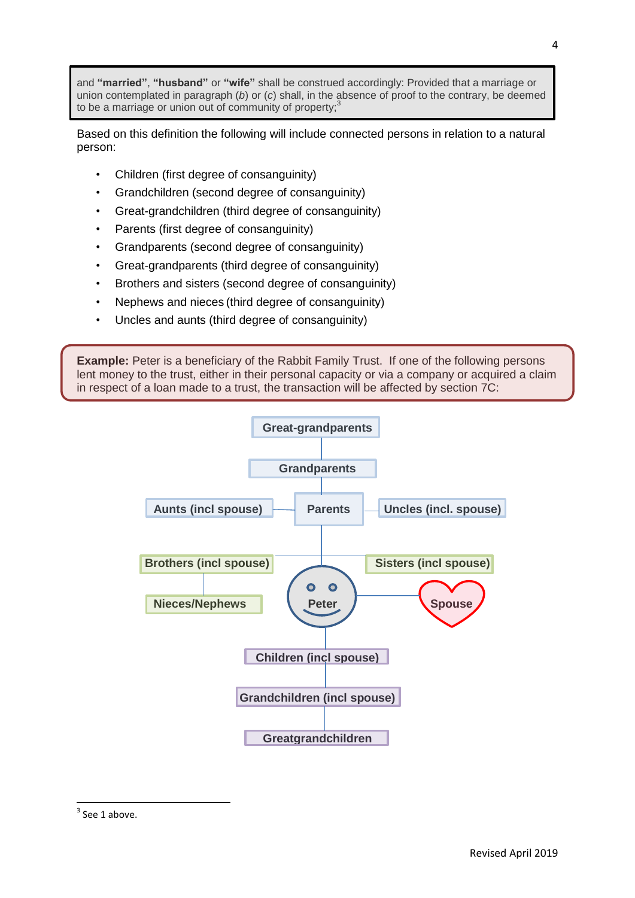and **"married"**, **"husband"** or **"wife"** shall be construed accordingly: Provided that a marriage or union contemplated in paragraph (*b*) or (*c*) shall, in the absence of proof to the contrary, be deemed to be a marriage or union out of community of property; $\dot{3}$ 

Based on this definition the following will include connected persons in relation to a natural person:

- Children (first degree of consanguinity)
- Grandchildren (second degree of consanguinity)
- Great-grandchildren (third degree of consanguinity)
- Parents (first degree of consanguinity)
- Grandparents (second degree of consanguinity)
- Great-grandparents (third degree of consanguinity)
- Brothers and sisters (second degree of consanguinity)
- Nephews and nieces (third degree of consanguinity)
- Uncles and aunts (third degree of consanguinity)

**Example:** Peter is a beneficiary of the Rabbit Family Trust. If one of the following persons lent money to the trust, either in their personal capacity or via a company or acquired a claim in respect of a loan made to a trust, the transaction will be affected by section 7C:



**.** 

 $3$  See 1 above.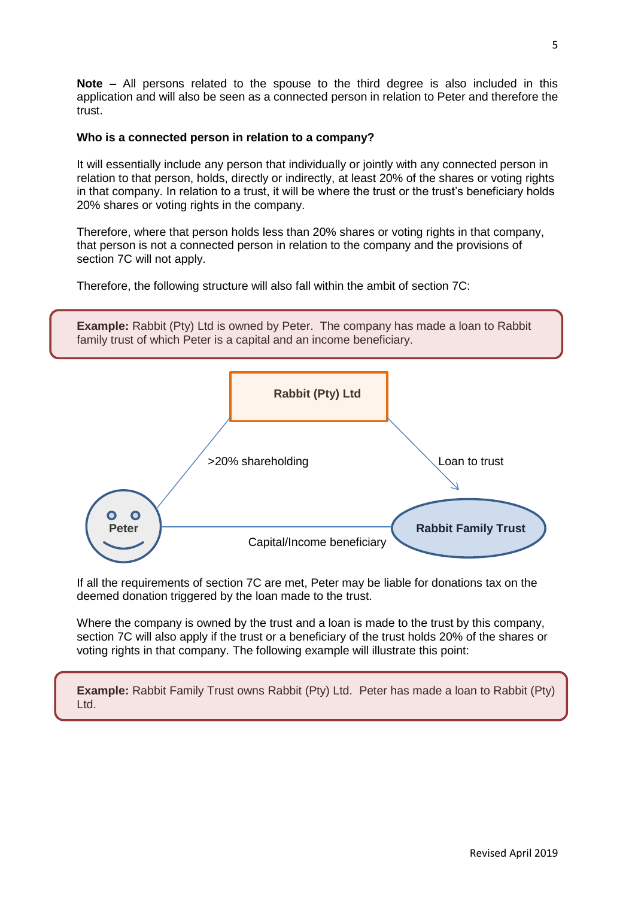**Note –** All persons related to the spouse to the third degree is also included in this application and will also be seen as a connected person in relation to Peter and therefore the trust.

## **Who is a connected person in relation to a company?**

It will essentially include any person that individually or jointly with any connected person in relation to that person, holds, directly or indirectly, at least 20% of the shares or voting rights in that company. In relation to a trust, it will be where the trust or the trust's beneficiary holds 20% shares or voting rights in the company.

Therefore, where that person holds less than 20% shares or voting rights in that company, that person is not a connected person in relation to the company and the provisions of section 7C will not apply.

Therefore, the following structure will also fall within the ambit of section 7C:

**Example:** Rabbit (Pty) Ltd is owned by Peter. The company has made a loan to Rabbit family trust of which Peter is a capital and an income beneficiary.



If all the requirements of section 7C are met, Peter may be liable for donations tax on the deemed donation triggered by the loan made to the trust.

Where the company is owned by the trust and a loan is made to the trust by this company, section 7C will also apply if the trust or a beneficiary of the trust holds 20% of the shares or voting rights in that company. The following example will illustrate this point:

**Example:** Rabbit Family Trust owns Rabbit (Pty) Ltd. Peter has made a loan to Rabbit (Pty) Ltd.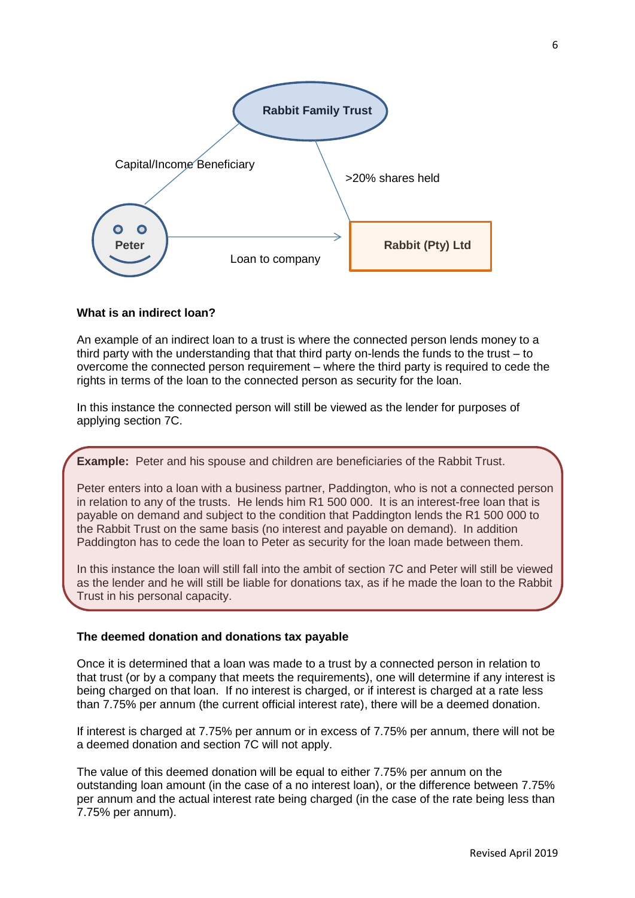

## **What is an indirect loan?**

An example of an indirect loan to a trust is where the connected person lends money to a third party with the understanding that that third party on-lends the funds to the trust – to overcome the connected person requirement – where the third party is required to cede the rights in terms of the loan to the connected person as security for the loan.

In this instance the connected person will still be viewed as the lender for purposes of applying section 7C.

**Example:** Peter and his spouse and children are beneficiaries of the Rabbit Trust.

Peter enters into a loan with a business partner, Paddington, who is not a connected person in relation to any of the trusts. He lends him R1 500 000. It is an interest-free loan that is payable on demand and subject to the condition that Paddington lends the R1 500 000 to the Rabbit Trust on the same basis (no interest and payable on demand). In addition Paddington has to cede the loan to Peter as security for the loan made between them.

In this instance the loan will still fall into the ambit of section 7C and Peter will still be viewed as the lender and he will still be liable for donations tax, as if he made the loan to the Rabbit Trust in his personal capacity.

#### **The deemed donation and donations tax payable**

Once it is determined that a loan was made to a trust by a connected person in relation to that trust (or by a company that meets the requirements), one will determine if any interest is being charged on that loan. If no interest is charged, or if interest is charged at a rate less than 7.75% per annum (the current official interest rate), there will be a deemed donation.

If interest is charged at 7.75% per annum or in excess of 7.75% per annum, there will not be a deemed donation and section 7C will not apply.

The value of this deemed donation will be equal to either 7.75% per annum on the outstanding loan amount (in the case of a no interest loan), or the difference between 7.75% per annum and the actual interest rate being charged (in the case of the rate being less than 7.75% per annum).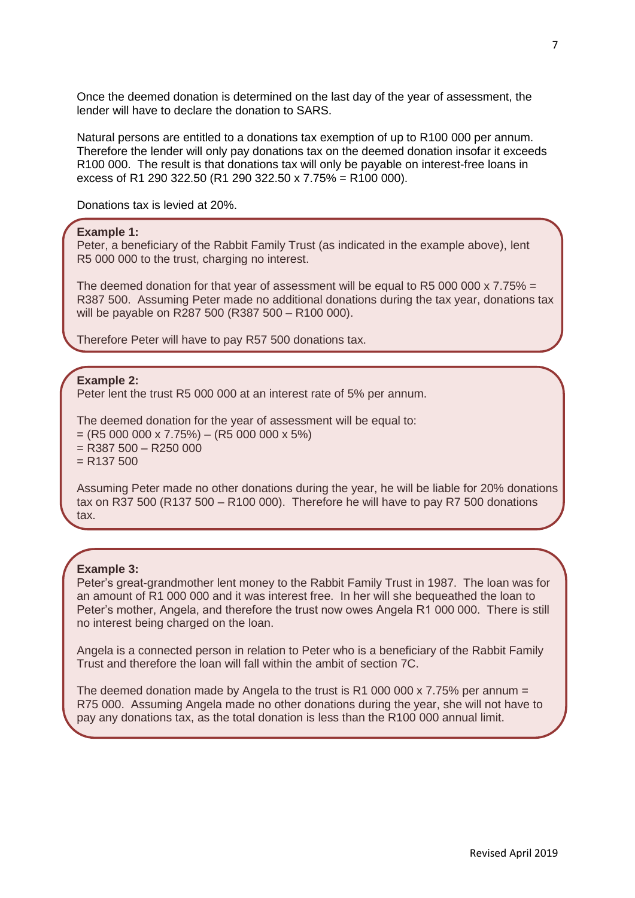Once the deemed donation is determined on the last day of the year of assessment, the lender will have to declare the donation to SARS.

Natural persons are entitled to a donations tax exemption of up to R100 000 per annum. Therefore the lender will only pay donations tax on the deemed donation insofar it exceeds R100 000. The result is that donations tax will only be payable on interest-free loans in excess of R1 290 322.50 (R1 290 322.50 x 7.75% = R100 000).

Donations tax is levied at 20%.

#### **Example 1:**

Peter, a beneficiary of the Rabbit Family Trust (as indicated in the example above), lent R5 000 000 to the trust, charging no interest.

The deemed donation for that year of assessment will be equal to R5 000 000 x 7.75% = R387 500. Assuming Peter made no additional donations during the tax year, donations tax will be payable on R287 500 (R387 500 – R100 000).

Therefore Peter will have to pay R57 500 donations tax.

**Example 2:** 

Peter lent the trust R5 000 000 at an interest rate of 5% per annum.

The deemed donation for the year of assessment will be equal to:  $=(R5000000 \times 7.75%) - (R5000000 \times 5%)$  $=$  R387 500 – R250 000  $= R137 500$ 

Assuming Peter made no other donations during the year, he will be liable for 20% donations tax on R37 500 (R137 500 – R100 000). Therefore he will have to pay R7 500 donations tax.

#### **Example 3:**

Peter's great-grandmother lent money to the Rabbit Family Trust in 1987. The loan was for an amount of R1 000 000 and it was interest free. In her will she bequeathed the loan to Peter's mother, Angela, and therefore the trust now owes Angela R1 000 000. There is still no interest being charged on the loan.

Angela is a connected person in relation to Peter who is a beneficiary of the Rabbit Family Trust and therefore the loan will fall within the ambit of section 7C.

The deemed donation made by Angela to the trust is R1 000 000 x 7.75% per annum  $=$ R75 000. Assuming Angela made no other donations during the year, she will not have to pay any donations tax, as the total donation is less than the R100 000 annual limit.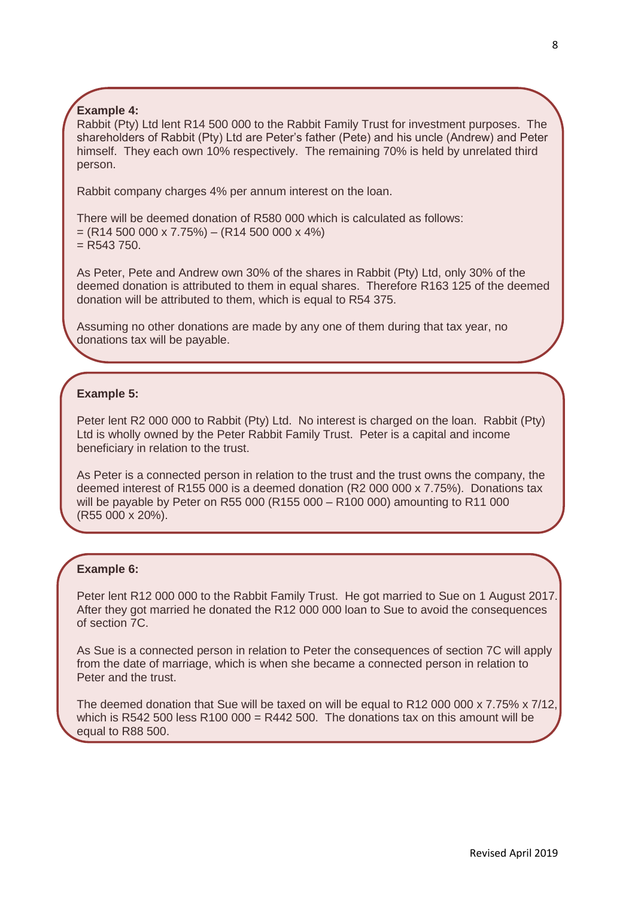## **Example 4:**

Rabbit (Pty) Ltd lent R14 500 000 to the Rabbit Family Trust for investment purposes. The shareholders of Rabbit (Pty) Ltd are Peter's father (Pete) and his uncle (Andrew) and Peter himself. They each own 10% respectively. The remaining 70% is held by unrelated third person.

Rabbit company charges 4% per annum interest on the loan.

There will be deemed donation of R580 000 which is calculated as follows:

 $=(R14 500 000 x 7.75%) - (R14 500 000 x 4%)$ 

 $=$  R543 750.

As Peter, Pete and Andrew own 30% of the shares in Rabbit (Pty) Ltd, only 30% of the deemed donation is attributed to them in equal shares. Therefore R163 125 of the deemed donation will be attributed to them, which is equal to R54 375.

Assuming no other donations are made by any one of them during that tax year, no donations tax will be payable.

## **Example 5:**

Peter lent R2 000 000 to Rabbit (Pty) Ltd. No interest is charged on the loan. Rabbit (Pty) Ltd is wholly owned by the Peter Rabbit Family Trust. Peter is a capital and income beneficiary in relation to the trust.

As Peter is a connected person in relation to the trust and the trust owns the company, the deemed interest of R155 000 is a deemed donation (R2 000 000 x 7.75%). Donations tax will be payable by Peter on R55 000 (R155 000 – R100 000) amounting to R11 000 (R55 000 x 20%).

## **Example 6:**

Peter lent R12 000 000 to the Rabbit Family Trust. He got married to Sue on 1 August 2017. After they got married he donated the R12 000 000 loan to Sue to avoid the consequences of section 7C.

As Sue is a connected person in relation to Peter the consequences of section 7C will apply from the date of marriage, which is when she became a connected person in relation to Peter and the trust.

The deemed donation that Sue will be taxed on will be equal to R12 000 000 x 7.75% x 7/12, which is R542 500 less R100 000 = R442 500. The donations tax on this amount will be equal to R88 500.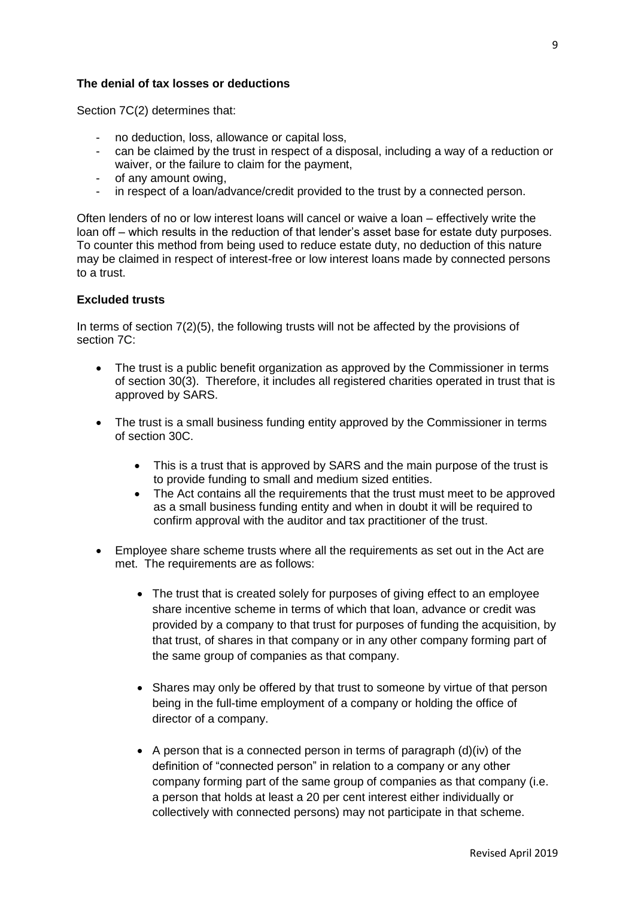## **The denial of tax losses or deductions**

Section 7C(2) determines that:

- no deduction, loss, allowance or capital loss,
- can be claimed by the trust in respect of a disposal, including a way of a reduction or waiver, or the failure to claim for the payment,
- of any amount owing,
- in respect of a loan/advance/credit provided to the trust by a connected person.

Often lenders of no or low interest loans will cancel or waive a loan – effectively write the loan off – which results in the reduction of that lender's asset base for estate duty purposes. To counter this method from being used to reduce estate duty, no deduction of this nature may be claimed in respect of interest-free or low interest loans made by connected persons to a trust.

#### **Excluded trusts**

In terms of section 7(2)(5), the following trusts will not be affected by the provisions of section 7C:

- The trust is a public benefit organization as approved by the Commissioner in terms of section 30(3). Therefore, it includes all registered charities operated in trust that is approved by SARS.
- The trust is a small business funding entity approved by the Commissioner in terms of section 30C.
	- This is a trust that is approved by SARS and the main purpose of the trust is to provide funding to small and medium sized entities.
	- The Act contains all the requirements that the trust must meet to be approved as a small business funding entity and when in doubt it will be required to confirm approval with the auditor and tax practitioner of the trust.
- Employee share scheme trusts where all the requirements as set out in the Act are met. The requirements are as follows:
	- The trust that is created solely for purposes of giving effect to an employee share incentive scheme in terms of which that loan, advance or credit was provided by a company to that trust for purposes of funding the acquisition, by that trust, of shares in that company or in any other company forming part of the same group of companies as that company.
	- Shares may only be offered by that trust to someone by virtue of that person being in the full-time employment of a company or holding the office of director of a company.
	- A person that is a connected person in terms of paragraph  $(d)(iv)$  of the definition of "connected person" in relation to a company or any other company forming part of the same group of companies as that company (i.e. a person that holds at least a 20 per cent interest either individually or collectively with connected persons) may not participate in that scheme.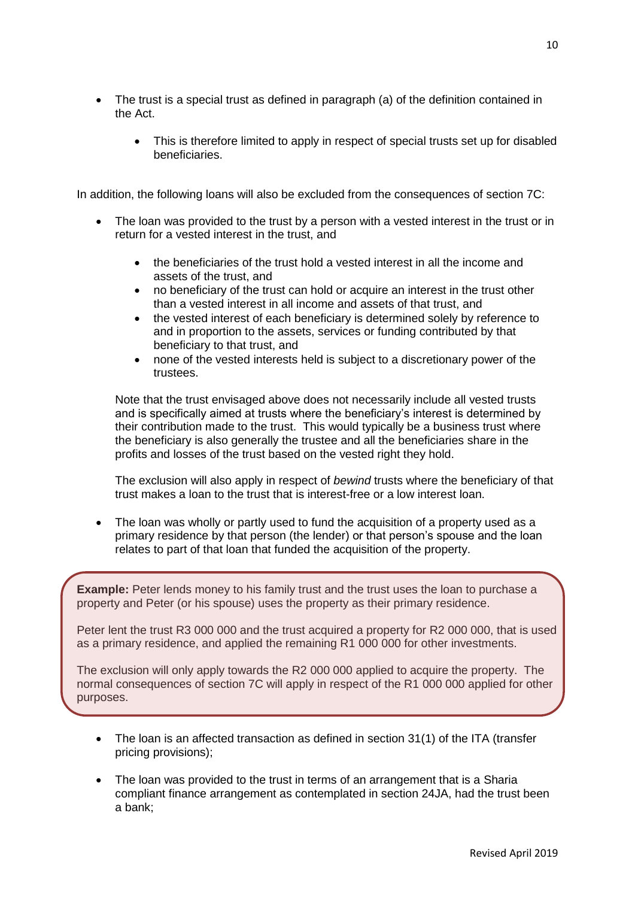- The trust is a special trust as defined in paragraph (a) of the definition contained in the Act.
	- This is therefore limited to apply in respect of special trusts set up for disabled beneficiaries.

In addition, the following loans will also be excluded from the consequences of section 7C:

- The loan was provided to the trust by a person with a vested interest in the trust or in return for a vested interest in the trust, and
	- the beneficiaries of the trust hold a vested interest in all the income and assets of the trust, and
	- no beneficiary of the trust can hold or acquire an interest in the trust other than a vested interest in all income and assets of that trust, and
	- the vested interest of each beneficiary is determined solely by reference to and in proportion to the assets, services or funding contributed by that beneficiary to that trust, and
	- none of the vested interests held is subject to a discretionary power of the trustees.

Note that the trust envisaged above does not necessarily include all vested trusts and is specifically aimed at trusts where the beneficiary's interest is determined by their contribution made to the trust. This would typically be a business trust where the beneficiary is also generally the trustee and all the beneficiaries share in the profits and losses of the trust based on the vested right they hold.

The exclusion will also apply in respect of *bewind* trusts where the beneficiary of that trust makes a loan to the trust that is interest-free or a low interest loan.

 The loan was wholly or partly used to fund the acquisition of a property used as a primary residence by that person (the lender) or that person's spouse and the loan relates to part of that loan that funded the acquisition of the property.

**Example:** Peter lends money to his family trust and the trust uses the loan to purchase a property and Peter (or his spouse) uses the property as their primary residence.

Peter lent the trust R3 000 000 and the trust acquired a property for R2 000 000, that is used as a primary residence, and applied the remaining R1 000 000 for other investments.

The exclusion will only apply towards the R2 000 000 applied to acquire the property. The normal consequences of section 7C will apply in respect of the R1 000 000 applied for other purposes.

- The loan is an affected transaction as defined in section 31(1) of the ITA (transfer pricing provisions);
- The loan was provided to the trust in terms of an arrangement that is a Sharia compliant finance arrangement as contemplated in section 24JA, had the trust been a bank;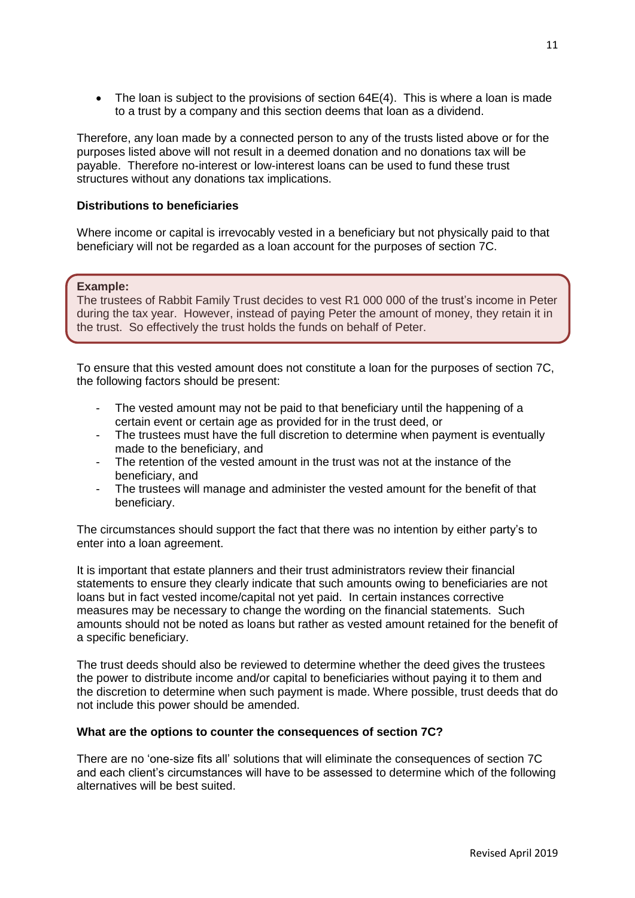$\bullet$  The loan is subject to the provisions of section 64E(4). This is where a loan is made to a trust by a company and this section deems that loan as a dividend.

Therefore, any loan made by a connected person to any of the trusts listed above or for the purposes listed above will not result in a deemed donation and no donations tax will be payable. Therefore no-interest or low-interest loans can be used to fund these trust structures without any donations tax implications.

## **Distributions to beneficiaries**

Where income or capital is irrevocably vested in a beneficiary but not physically paid to that beneficiary will not be regarded as a loan account for the purposes of section 7C.

#### **Example:**

The trustees of Rabbit Family Trust decides to vest R1 000 000 of the trust's income in Peter during the tax year. However, instead of paying Peter the amount of money, they retain it in the trust. So effectively the trust holds the funds on behalf of Peter.

To ensure that this vested amount does not constitute a loan for the purposes of section 7C, the following factors should be present:

- The vested amount may not be paid to that beneficiary until the happening of a certain event or certain age as provided for in the trust deed, or
- The trustees must have the full discretion to determine when payment is eventually made to the beneficiary, and
- The retention of the vested amount in the trust was not at the instance of the beneficiary, and
- The trustees will manage and administer the vested amount for the benefit of that beneficiary.

The circumstances should support the fact that there was no intention by either party's to enter into a loan agreement.

It is important that estate planners and their trust administrators review their financial statements to ensure they clearly indicate that such amounts owing to beneficiaries are not loans but in fact vested income/capital not yet paid. In certain instances corrective measures may be necessary to change the wording on the financial statements. Such amounts should not be noted as loans but rather as vested amount retained for the benefit of a specific beneficiary.

The trust deeds should also be reviewed to determine whether the deed gives the trustees the power to distribute income and/or capital to beneficiaries without paying it to them and the discretion to determine when such payment is made. Where possible, trust deeds that do not include this power should be amended.

#### **What are the options to counter the consequences of section 7C?**

There are no 'one-size fits all' solutions that will eliminate the consequences of section 7C and each client's circumstances will have to be assessed to determine which of the following alternatives will be best suited.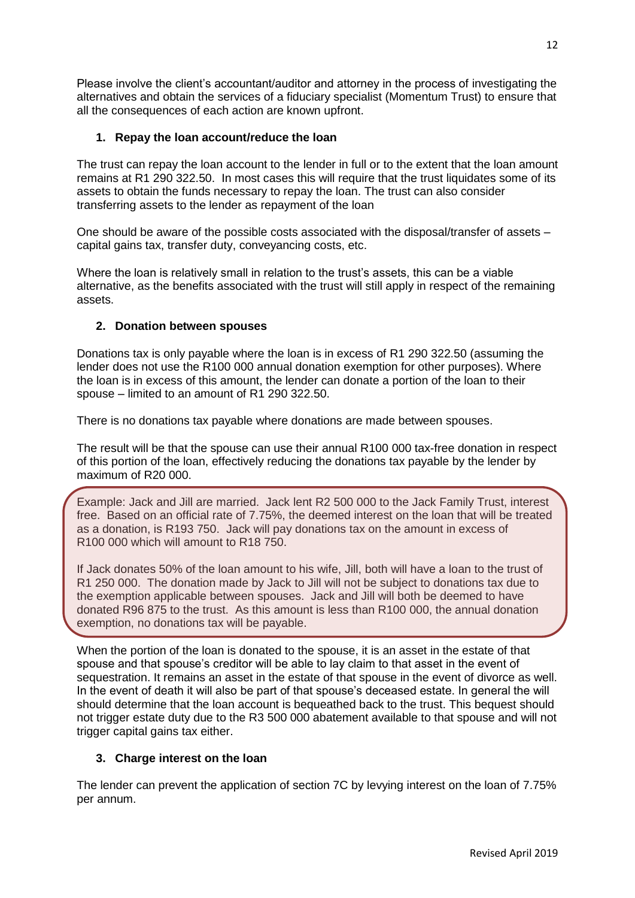Please involve the client's accountant/auditor and attorney in the process of investigating the alternatives and obtain the services of a fiduciary specialist (Momentum Trust) to ensure that all the consequences of each action are known upfront.

## **1. Repay the loan account/reduce the loan**

The trust can repay the loan account to the lender in full or to the extent that the loan amount remains at R1 290 322.50. In most cases this will require that the trust liquidates some of its assets to obtain the funds necessary to repay the loan. The trust can also consider transferring assets to the lender as repayment of the loan

One should be aware of the possible costs associated with the disposal/transfer of assets – capital gains tax, transfer duty, conveyancing costs, etc.

Where the loan is relatively small in relation to the trust's assets, this can be a viable alternative, as the benefits associated with the trust will still apply in respect of the remaining assets.

## **2. Donation between spouses**

Donations tax is only payable where the loan is in excess of R1 290 322.50 (assuming the lender does not use the R100 000 annual donation exemption for other purposes). Where the loan is in excess of this amount, the lender can donate a portion of the loan to their spouse – limited to an amount of R1 290 322.50.

There is no donations tax payable where donations are made between spouses.

The result will be that the spouse can use their annual R100 000 tax-free donation in respect of this portion of the loan, effectively reducing the donations tax payable by the lender by maximum of R20 000.

Example: Jack and Jill are married. Jack lent R2 500 000 to the Jack Family Trust, interest free. Based on an official rate of 7.75%, the deemed interest on the loan that will be treated as a donation, is R193 750. Jack will pay donations tax on the amount in excess of R100 000 which will amount to R18 750.

If Jack donates 50% of the loan amount to his wife, Jill, both will have a loan to the trust of R1 250 000. The donation made by Jack to Jill will not be subject to donations tax due to the exemption applicable between spouses. Jack and Jill will both be deemed to have donated R96 875 to the trust. As this amount is less than R100 000, the annual donation exemption, no donations tax will be payable.

When the portion of the loan is donated to the spouse, it is an asset in the estate of that spouse and that spouse's creditor will be able to lay claim to that asset in the event of sequestration. It remains an asset in the estate of that spouse in the event of divorce as well. In the event of death it will also be part of that spouse's deceased estate. In general the will should determine that the loan account is bequeathed back to the trust. This bequest should not trigger estate duty due to the R3 500 000 abatement available to that spouse and will not trigger capital gains tax either.

## **3. Charge interest on the loan**

The lender can prevent the application of section 7C by levying interest on the loan of 7.75% per annum.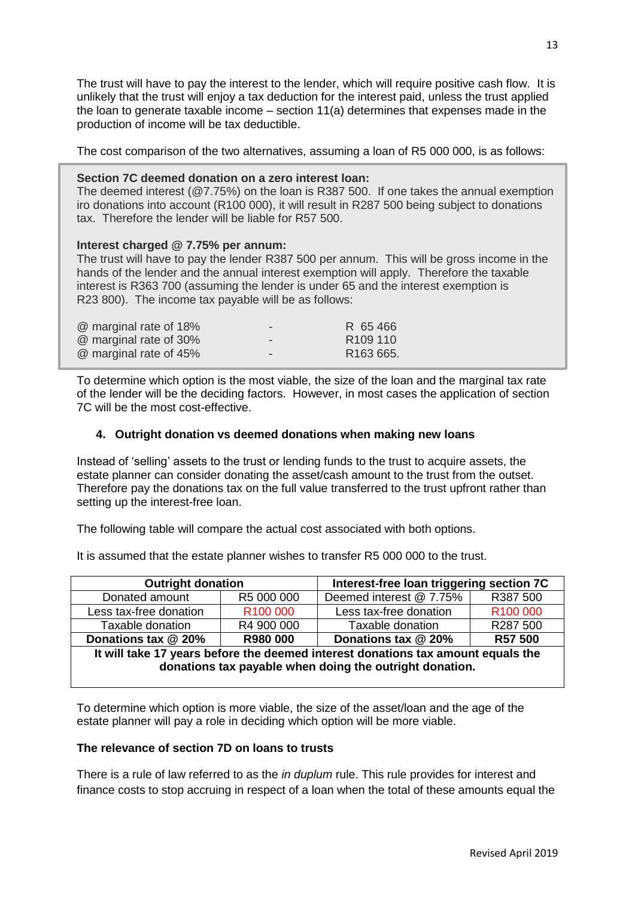The trust will have to pay the interest to the lender, which will require positive cash flow. It is unlikely that the trust will enjoy a tax deduction for the interest paid, unless the trust applied the loan to generate taxable income – section 11(a) determines that expenses made in the production of income will be tax deductible.

The cost comparison of the two alternatives, assuming a loan of R5 000 000, is as follows:

#### **Section 7C deemed donation on a zero interest loan:**

The deemed interest (@7.75%) on the loan is R387 500. If one takes the annual exemption iro donations into account (R100 000), it will result in R287 500 being subject to donations tax. Therefore the lender will be liable for R57 500.

## **Interest charged @ 7.75% per annum:**

The trust will have to pay the lender R387 500 per annum. This will be gross income in the hands of the lender and the annual interest exemption will apply. Therefore the taxable interest is R363 700 (assuming the lender is under 65 and the interest exemption is R23 800). The income tax payable will be as follows:

| @ marginal rate of 18% | $\sim$ | R 65466               |
|------------------------|--------|-----------------------|
| @ marginal rate of 30% | $\sim$ | R <sub>109</sub> 110  |
| @ marginal rate of 45% | $\sim$ | R <sub>163</sub> 665. |

To determine which option is the most viable, the size of the loan and the marginal tax rate of the lender will be the deciding factors. However, in most cases the application of section 7C will be the most cost-effective.

## **4. Outright donation vs deemed donations when making new loans**

Instead of 'selling' assets to the trust or lending funds to the trust to acquire assets, the estate planner can consider donating the asset/cash amount to the trust from the outset. Therefore pay the donations tax on the full value transferred to the trust upfront rather than setting up the interest-free loan.

The following table will compare the actual cost associated with both options.

It is assumed that the estate planner wishes to transfer R5 000 000 to the trust.

| <b>Outright donation</b>                                                                                                                    |                      | Interest-free loan triggering section 7C |                      |  |  |
|---------------------------------------------------------------------------------------------------------------------------------------------|----------------------|------------------------------------------|----------------------|--|--|
| Donated amount                                                                                                                              | R5 000 000           | Deemed interest @ 7.75%                  | R387 500             |  |  |
| Less tax-free donation                                                                                                                      | R <sub>100</sub> 000 | Less tax-free donation                   | R <sub>100</sub> 000 |  |  |
| Taxable donation                                                                                                                            | R4 900 000           | Taxable donation                         | R287 500             |  |  |
| Donations tax @ 20%                                                                                                                         | R980 000             | Donations tax @ 20%                      | R57 500              |  |  |
| It will take 17 years before the deemed interest donations tax amount equals the<br>donations tax payable when doing the outright donation. |                      |                                          |                      |  |  |

To determine which option is more viable, the size of the asset/loan and the age of the estate planner will pay a role in deciding which option will be more viable.

#### **The relevance of section 7D on loans to trusts**

There is a rule of law referred to as the *in duplum* rule. This rule provides for interest and finance costs to stop accruing in respect of a loan when the total of these amounts equal the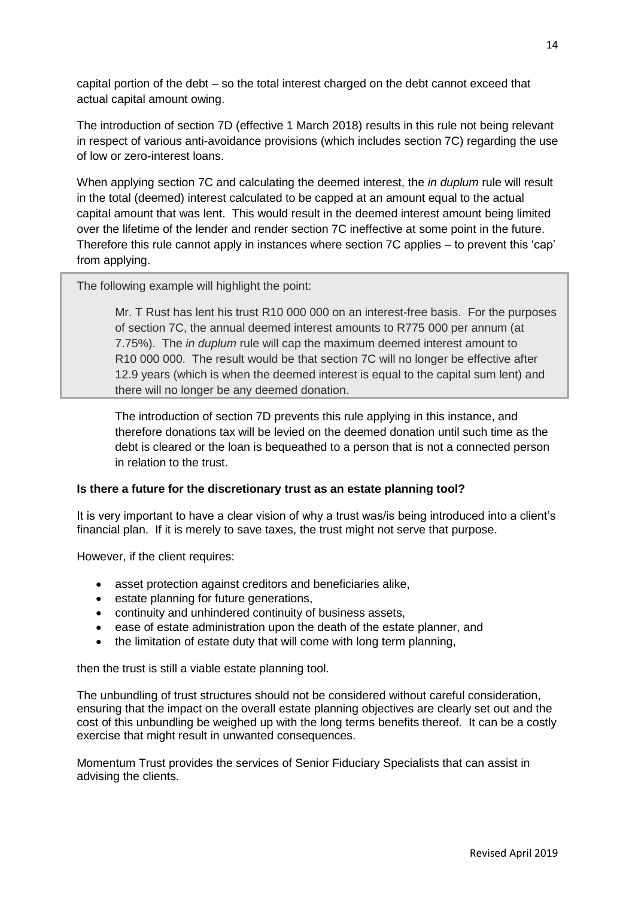capital portion of the debt – so the total interest charged on the debt cannot exceed that actual capital amount owing.

The introduction of section 7D (effective 1 March 2018) results in this rule not being relevant in respect of various anti-avoidance provisions (which includes section 7C) regarding the use of low or zero-interest loans.

When applying section 7C and calculating the deemed interest, the *in duplum* rule will result in the total (deemed) interest calculated to be capped at an amount equal to the actual capital amount that was lent. This would result in the deemed interest amount being limited over the lifetime of the lender and render section 7C ineffective at some point in the future. Therefore this rule cannot apply in instances where section 7C applies – to prevent this 'cap' from applying.

The following example will highlight the point:

Mr. T Rust has lent his trust R10 000 000 on an interest-free basis. For the purposes of section 7C, the annual deemed interest amounts to R775 000 per annum (at 7.75%). The *in duplum* rule will cap the maximum deemed interest amount to R10 000 000. The result would be that section 7C will no longer be effective after 12.9 years (which is when the deemed interest is equal to the capital sum lent) and there will no longer be any deemed donation.

The introduction of section 7D prevents this rule applying in this instance, and therefore donations tax will be levied on the deemed donation until such time as the debt is cleared or the loan is bequeathed to a person that is not a connected person in relation to the trust.

## **Is there a future for the discretionary trust as an estate planning tool?**

It is very important to have a clear vision of why a trust was/is being introduced into a client's financial plan. If it is merely to save taxes, the trust might not serve that purpose.

However, if the client requires:

- asset protection against creditors and beneficiaries alike,
- estate planning for future generations,
- continuity and unhindered continuity of business assets,
- ease of estate administration upon the death of the estate planner, and
- the limitation of estate duty that will come with long term planning,

then the trust is still a viable estate planning tool.

The unbundling of trust structures should not be considered without careful consideration, ensuring that the impact on the overall estate planning objectives are clearly set out and the cost of this unbundling be weighed up with the long terms benefits thereof. It can be a costly exercise that might result in unwanted consequences.

Momentum Trust provides the services of Senior Fiduciary Specialists that can assist in advising the clients.